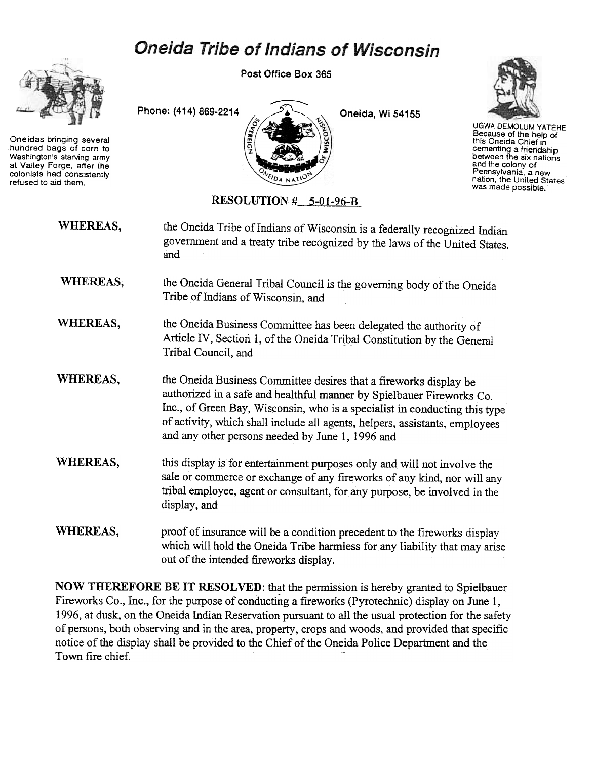## **Oneida Tribe of Indians of Wisconsin**



Oneidas bringing several hundred bags of corn to Washington's starving army at Valley Forge, after the colonists had consistently refused to aid them.

Post Office Box 365





UGWA DEMOlUM YATEHE Because of the help of this Oneida Chief in cementing a friendship between the six nations and the colony of Pennsylvania. a new nation, the United States was made possible.

RESOLUTION # 5-01-96-B

| WHEREAS,        | the Oneida Tribe of Indians of Wisconsin is a federally recognized Indian<br>government and a treaty tribe recognized by the laws of the United States,<br>and                                                                                                                                                                                              |
|-----------------|-------------------------------------------------------------------------------------------------------------------------------------------------------------------------------------------------------------------------------------------------------------------------------------------------------------------------------------------------------------|
| WHEREAS,        | the Oneida General Tribal Council is the governing body of the Oneida<br>Tribe of Indians of Wisconsin, and                                                                                                                                                                                                                                                 |
| WHEREAS,        | the Oneida Business Committee has been delegated the authority of<br>Article IV, Section 1, of the Oneida Tribal Constitution by the General<br>Tribal Council, and                                                                                                                                                                                         |
| WHEREAS,        | the Oneida Business Committee desires that a fireworks display be<br>authorized in a safe and healthful manner by Spielbauer Fireworks Co.<br>Inc., of Green Bay, Wisconsin, who is a specialist in conducting this type<br>of activity, which shall include all agents, helpers, assistants, employees<br>and any other persons needed by June 1, 1996 and |
| <b>WHEREAS,</b> | this display is for entertainment purposes only and will not involve the<br>sale or commerce or exchange of any fireworks of any kind, nor will any<br>tribal employee, agent or consultant, for any purpose, be involved in the<br>display, and                                                                                                            |
| WHEREAS,        | proof of insurance will be a condition precedent to the fireworks display<br>which will hold the Oneida Tribe harmless for any liability that may arise<br>out of the intended fireworks display.                                                                                                                                                           |

NOW THEREFORE BE IT RESOLVED: that the permission is hereby granted to Spielbauer Fireworks Co., Inc., for the purpose of conducting a fireworks (Pyrotechnic) display on June 1, 1996, at dusk, on the Oneida Indian Reservation pursuant to all the usual protection for the safety of persons, both observing and in the area, property, crops and. woods, and provided that specific notice of the display shall be provided to the Chief of the Oneida Police Department and the Town fire chief.